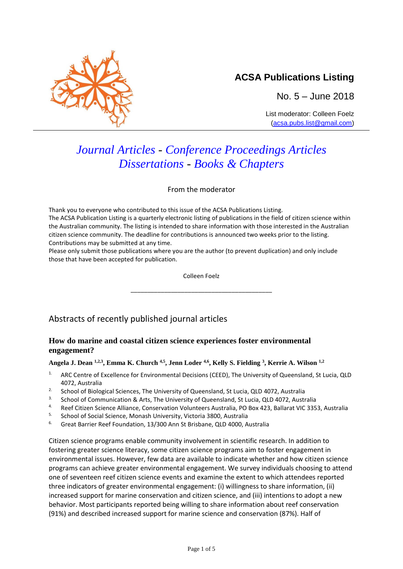

No. 5 – June 2018

List moderator: Colleen Foelz [\(acsa.pubs.list@gmail.com\)](mailto:acsa.pubs.list@gmail.com)

# *Journal Articles - Conference Proceedings Articles Dissertations - Books & Chapters*

From the moderator

Thank you to everyone who contributed to this issue of the ACSA Publications Listing. The ACSA Publication Listing is a quarterly electronic listing of publications in the field of citizen science within the Australian community. The listing is intended to share information with those interested in the Australian citizen science community. The deadline for contributions is announced two weeks prior to the listing. Contributions may be submitted at any time.

Please only submit those publications where you are the author (to prevent duplication) and only include those that have been accepted for publication.

Colleen Foelz

\_\_\_\_\_\_\_\_\_\_\_\_\_\_\_\_\_\_\_\_\_\_\_\_\_\_\_\_\_\_\_\_\_\_\_\_\_\_\_\_\_\_

# Abstracts of recently published journal articles

## **How do marine and coastal citizen science experiences foster environmental engagement?**

## **Angela J. Dean 1,2,3 , Emma K. Church 4,5 , Jenn Loder 4,6 , Kelly S. Fielding <sup>3</sup> , Kerrie A. Wilson 1,2**

- 1. ARC Centre of Excellence for Environmental Decisions (CEED), The University of Queensland, St Lucia, QLD 4072, Australia
- <sup>2.</sup> School of Biological Sciences, The University of Queensland, St Lucia, QLD 4072, Australia
- 3. School of Communication & Arts, The University of Queensland, St Lucia, QLD 4072, Australia
- 4. Reef Citizen Science Alliance, Conservation Volunteers Australia, PO Box 423, Ballarat VIC 3353, Australia
- 5. School of Social Science, Monash University, Victoria 3800, Australia
- <sup>6.</sup> Great Barrier Reef Foundation, 13/300 Ann St Brisbane, QLD 4000, Australia

Citizen science programs enable community involvement in scientific research. In addition to fostering greater science literacy, some citizen science programs aim to foster engagement in environmental issues. However, few data are available to indicate whether and how citizen science programs can achieve greater environmental engagement. We survey individuals choosing to attend one of seventeen reef citizen science events and examine the extent to which attendees reported three indicators of greater environmental engagement: (i) willingness to share information, (ii) increased support for marine conservation and citizen science, and (iii) intentions to adopt a new behavior. Most participants reported being willing to share information about reef conservation (91%) and described increased support for marine science and conservation (87%). Half of

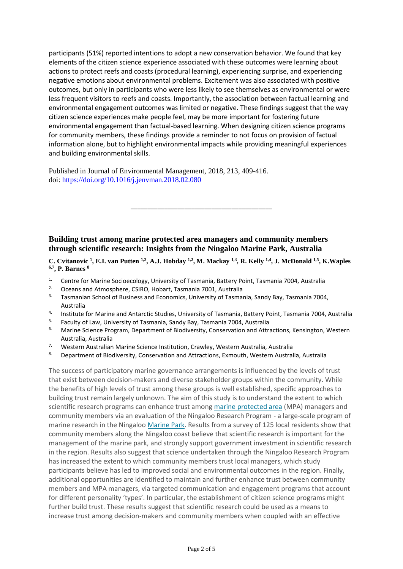participants (51%) reported intentions to adopt a new conservation behavior. We found that key elements of the citizen science experience associated with these outcomes were learning about actions to protect reefs and coasts (procedural learning), experiencing surprise, and experiencing negative emotions about environmental problems. Excitement was also associated with positive outcomes, but only in participants who were less likely to see themselves as environmental or were less frequent visitors to reefs and coasts. Importantly, the association between factual learning and environmental engagement outcomes was limited or negative. These findings suggest that the way citizen science experiences make people feel, may be more important for fostering future environmental engagement than factual-based learning. When designing citizen science programs for community members, these findings provide a reminder to not focus on provision of factual information alone, but to highlight environmental impacts while providing meaningful experiences and building environmental skills.

Published in Journal of Environmental Management, 2018, 213, 409-416. doi:<https://doi.org/10.1016/j.jenvman.2018.02.080>

## **Building trust among marine protected area managers and community members through scientific research: Insights from the Ningaloo Marine Park, Australia**

C. Cvitanovic <sup>1</sup>, E.I. van Putten <sup>1,2</sup>, A.J. Hobday <sup>1,2</sup>, M. Mackay <sup>1,3</sup>, R. Kelly <sup>1,4</sup>, J. McDonald <sup>1,5</sup>, K. Waples **6,7 , P. Barnes <sup>8</sup>**

\_\_\_\_\_\_\_\_\_\_\_\_\_\_\_\_\_\_\_\_\_\_\_\_\_\_\_\_\_\_\_\_\_\_\_\_\_\_\_\_\_\_

- <sup>1.</sup> Centre for Marine Socioecology, University of Tasmania, Battery Point, Tasmania 7004, Australia
- <sup>2.</sup> Oceans and Atmosphere, CSIRO, Hobart, Tasmania 7001, Australia
- <sup>3.</sup> Tasmanian School of Business and Economics, University of Tasmania, Sandy Bay, Tasmania 7004, Australia
- 4. Institute for Marine and Antarctic Studies, University of Tasmania, Battery Point, Tasmania 7004, Australia
- 5. Faculty of Law, University of Tasmania, Sandy Bay, Tasmania 7004, Australia
- <sup>6.</sup> Marine Science Program, Department of Biodiversity, Conservation and Attractions, Kensington, Western Australia, Australia
- 7. Western Australian Marine Science Institution, Crawley, Western Australia, Australia
- 8. Department of Biodiversity, Conservation and Attractions, Exmouth, Western Australia, Australia

The success of participatory marine governance arrangements is influenced by the levels of trust that exist between decision-makers and diverse stakeholder groups within the community. While the benefits of high levels of trust among these groups is well established, specific approaches to building trust remain largely unknown. The aim of this study is to understand the extent to which scientific research programs can enhance trust among [marine protected area](https://www.sciencedirect.com/topics/earth-and-planetary-sciences/marine-protected-area) (MPA) managers and community members via an evaluation of the Ningaloo Research Program - a large-scale program of marine research in the Ningaloo [Marine Park.](https://www.sciencedirect.com/topics/earth-and-planetary-sciences/marine-reserve) Results from a survey of 125 local residents show that community members along the Ningaloo coast believe that scientific research is important for the management of the marine park, and strongly support government investment in scientific research in the region. Results also suggest that science undertaken through the Ningaloo Research Program has increased the extent to which community members trust local managers, which study participants believe has led to improved social and environmental outcomes in the region. Finally, additional opportunities are identified to maintain and further enhance trust between community members and MPA managers, via targeted communication and engagement programs that account for different personality 'types'. In particular, the establishment of citizen science programs might further build trust. These results suggest that scientific research could be used as a means to increase trust among decision-makers and community members when coupled with an effective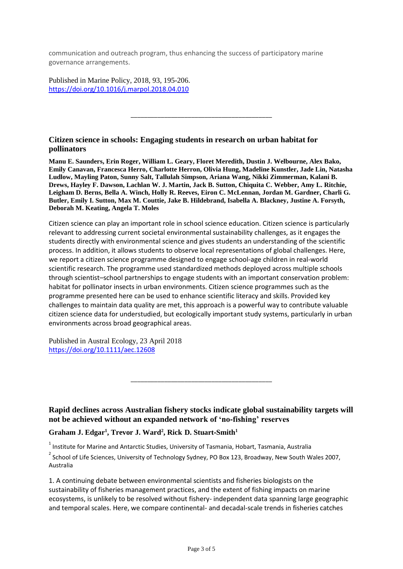communication and outreach program, thus enhancing the success of participatory marine governance arrangements.

Published in Marine Policy, 2018, 93, 195-206. <https://doi.org/10.1016/j.marpol.2018.04.010>

#### **Citizen science in schools: Engaging students in research on urban habitat for pollinators**

**[Manu E. Saunders,](https://onlinelibrary.wiley.com/action/doSearch?ContribAuthorStored=Saunders%2C+Manu+E) [Erin Roger,](https://onlinelibrary.wiley.com/action/doSearch?ContribAuthorStored=Roger%2C+Erin) [William L. Geary,](https://onlinelibrary.wiley.com/action/doSearch?ContribAuthorStored=Geary%2C+William+L) [Floret Meredith,](https://onlinelibrary.wiley.com/action/doSearch?ContribAuthorStored=Meredith%2C+Floret) [Dustin J. Welbourne,](https://onlinelibrary.wiley.com/action/doSearch?ContribAuthorStored=Welbourne%2C+Dustin+J) [Alex Bako,](https://onlinelibrary.wiley.com/action/doSearch?ContribAuthorStored=Bako%2C+Alex) [Emily Canavan,](https://onlinelibrary.wiley.com/action/doSearch?ContribAuthorStored=Canavan%2C+Emily) [Francesca Herro,](https://onlinelibrary.wiley.com/action/doSearch?ContribAuthorStored=Herro%2C+Francesca) [Charlotte Herron,](https://onlinelibrary.wiley.com/action/doSearch?ContribAuthorStored=Herron%2C+Charlotte) [Olivia Hung,](https://onlinelibrary.wiley.com/action/doSearch?ContribAuthorStored=Hung%2C+Olivia) [Madeline Kunstler,](https://onlinelibrary.wiley.com/action/doSearch?ContribAuthorStored=Kunstler%2C+Madeline) [Jade Lin,](https://onlinelibrary.wiley.com/action/doSearch?ContribAuthorStored=Lin%2C+Jade) [Natasha](https://onlinelibrary.wiley.com/action/doSearch?ContribAuthorStored=Ludlow%2C+Natasha)  [Ludlow,](https://onlinelibrary.wiley.com/action/doSearch?ContribAuthorStored=Ludlow%2C+Natasha) [Mayling Paton,](https://onlinelibrary.wiley.com/action/doSearch?ContribAuthorStored=Paton%2C+Mayling) [Sunny Salt,](https://onlinelibrary.wiley.com/action/doSearch?ContribAuthorStored=Salt%2C+Sunny) [Tallulah Simpson,](https://onlinelibrary.wiley.com/action/doSearch?ContribAuthorStored=Simpson%2C+Tallulah) [Ariana Wang,](https://onlinelibrary.wiley.com/action/doSearch?ContribAuthorStored=Wang%2C+Ariana) [Nikki Zimmerman,](https://onlinelibrary.wiley.com/action/doSearch?ContribAuthorStored=Zimmerman%2C+Nikki) [Kalani B.](https://onlinelibrary.wiley.com/action/doSearch?ContribAuthorStored=Drews%2C+Kalani+B)  [Drews,](https://onlinelibrary.wiley.com/action/doSearch?ContribAuthorStored=Drews%2C+Kalani+B) [Hayley F. Dawson,](https://onlinelibrary.wiley.com/action/doSearch?ContribAuthorStored=Dawson%2C+Hayley+F) [Lachlan W. J. Martin,](https://onlinelibrary.wiley.com/action/doSearch?ContribAuthorStored=Martin%2C+Lachlan+W+J) [Jack B. Sutton,](https://onlinelibrary.wiley.com/action/doSearch?ContribAuthorStored=Sutton%2C+Jack+B) [Chiquita C. Webber,](https://onlinelibrary.wiley.com/action/doSearch?ContribAuthorStored=Webber%2C+Chiquita+C) [Amy L. Ritchie,](https://onlinelibrary.wiley.com/action/doSearch?ContribAuthorStored=Ritchie%2C+Amy+L) [Leigham D. Berns,](https://onlinelibrary.wiley.com/action/doSearch?ContribAuthorStored=Berns%2C+Leigham+D) [Bella A. Winch,](https://onlinelibrary.wiley.com/action/doSearch?ContribAuthorStored=Winch%2C+Bella+A) [Holly R. Reeves,](https://onlinelibrary.wiley.com/action/doSearch?ContribAuthorStored=Reeves%2C+Holly+R) [Eiron C. McLennan,](https://onlinelibrary.wiley.com/action/doSearch?ContribAuthorStored=McLennan%2C+Eiron+C) [Jordan M. Gardner,](https://onlinelibrary.wiley.com/action/doSearch?ContribAuthorStored=Gardner%2C+Jordan+M) [Charli G.](https://onlinelibrary.wiley.com/action/doSearch?ContribAuthorStored=Butler%2C+Charli+G)  [Butler,](https://onlinelibrary.wiley.com/action/doSearch?ContribAuthorStored=Butler%2C+Charli+G) [Emily I. Sutton,](https://onlinelibrary.wiley.com/action/doSearch?ContribAuthorStored=Sutton%2C+Emily+I) [Max M. Couttie,](https://onlinelibrary.wiley.com/action/doSearch?ContribAuthorStored=Couttie%2C+Max+M) [Jake B. Hildebrand,](https://onlinelibrary.wiley.com/action/doSearch?ContribAuthorStored=Hildebrand%2C+Jake+B) [Isabella A. Blackney,](https://onlinelibrary.wiley.com/action/doSearch?ContribAuthorStored=Blackney%2C+Isabella+A) [Justine A. Forsyth,](https://onlinelibrary.wiley.com/action/doSearch?ContribAuthorStored=Forsyth%2C+Justine+A) [Deborah M. Keating,](https://onlinelibrary.wiley.com/action/doSearch?ContribAuthorStored=Keating%2C+Deborah+M) [Angela T. Moles](https://onlinelibrary.wiley.com/action/doSearch?ContribAuthorStored=Moles%2C+Angela+T)**

\_\_\_\_\_\_\_\_\_\_\_\_\_\_\_\_\_\_\_\_\_\_\_\_\_\_\_\_\_\_\_\_\_\_\_\_\_\_\_\_\_\_

Citizen science can play an important role in school science education. Citizen science is particularly relevant to addressing current societal environmental sustainability challenges, as it engages the students directly with environmental science and gives students an understanding of the scientific process. In addition, it allows students to observe local representations of global challenges. Here, we report a citizen science programme designed to engage school‐age children in real‐world scientific research. The programme used standardized methods deployed across multiple schools through scientist–school partnerships to engage students with an important conservation problem: habitat for pollinator insects in urban environments. Citizen science programmes such as the programme presented here can be used to enhance scientific literacy and skills. Provided key challenges to maintain data quality are met, this approach is a powerful way to contribute valuable citizen science data for understudied, but ecologically important study systems, particularly in urban environments across broad geographical areas.

Published in Austral Ecology, 23 April 2018 https://doi.org/10.1111/aec.12608

**Rapid declines across Australian fishery stocks indicate global sustainability targets will not be achieved without an expanded network of 'no**‐**fishing' reserves** 

\_\_\_\_\_\_\_\_\_\_\_\_\_\_\_\_\_\_\_\_\_\_\_\_\_\_\_\_\_\_\_\_\_\_\_\_\_\_\_\_\_\_

#### **Graham J. Edgar<sup>1</sup> , Trevor J. Ward<sup>2</sup> , Rick D. Stuart**‐**Smith<sup>1</sup>**

 $1$  Institute for Marine and Antarctic Studies, University of Tasmania, Hobart, Tasmania, Australia

 $^{2}$  School of Life Sciences, University of Technology Sydney, PO Box 123, Broadway, New South Wales 2007, Australia

1. A continuing debate between environmental scientists and fisheries biologists on the sustainability of fisheries management practices, and the extent of fishing impacts on marine ecosystems, is unlikely to be resolved without fishery‐ independent data spanning large geographic and temporal scales. Here, we compare continental‐ and decadal‐scale trends in fisheries catches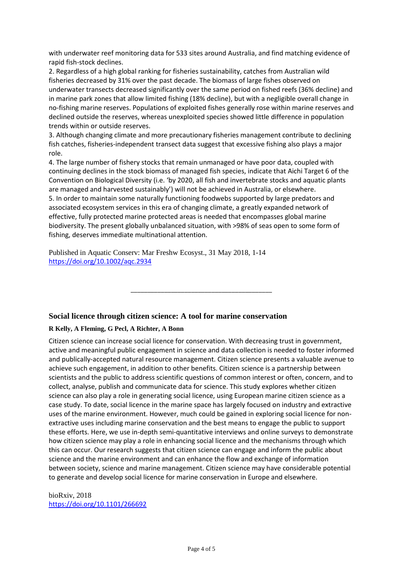with underwater reef monitoring data for 533 sites around Australia, and find matching evidence of rapid fish‐stock declines.

2. Regardless of a high global ranking for fisheries sustainability, catches from Australian wild fisheries decreased by 31% over the past decade. The biomass of large fishes observed on underwater transects decreased significantly over the same period on fished reefs (36% decline) and in marine park zones that allow limited fishing (18% decline), but with a negligible overall change in no‐fishing marine reserves. Populations of exploited fishes generally rose within marine reserves and declined outside the reserves, whereas unexploited species showed little difference in population trends within or outside reserves.

3. Although changing climate and more precautionary fisheries management contribute to declining fish catches, fisheries-independent transect data suggest that excessive fishing also plays a major role.

4. The large number of fishery stocks that remain unmanaged or have poor data, coupled with continuing declines in the stock biomass of managed fish species, indicate that Aichi Target 6 of the Convention on Biological Diversity (i.e. 'by 2020, all fish and invertebrate stocks and aquatic plants are managed and harvested sustainably') will not be achieved in Australia, or elsewhere. 5. In order to maintain some naturally functioning foodwebs supported by large predators and associated ecosystem services in this era of changing climate, a greatly expanded network of effective, fully protected marine protected areas is needed that encompasses global marine biodiversity. The present globally unbalanced situation, with >98% of seas open to some form of fishing, deserves immediate multinational attention.

\_\_\_\_\_\_\_\_\_\_\_\_\_\_\_\_\_\_\_\_\_\_\_\_\_\_\_\_\_\_\_\_\_\_\_\_\_\_\_\_\_\_

Published in Aquatic Conserv: Mar Freshw Ecosyst., 31 May 2018, 1-14 <https://doi.org/10.1002/aqc.2934>

#### **Social licence through citizen science: A tool for marine conservation**

#### **R Kelly, A Fleming, G Pecl, A Richter, A Bonn**

Citizen science can increase social licence for conservation. With decreasing trust in government, active and meaningful public engagement in science and data collection is needed to foster informed and publically-accepted natural resource management. Citizen science presents a valuable avenue to achieve such engagement, in addition to other benefits. Citizen science is a partnership between scientists and the public to address scientific questions of common interest or often, concern, and to collect, analyse, publish and communicate data for science. This study explores whether citizen science can also play a role in generating social licence, using European marine citizen science as a case study. To date, social licence in the marine space has largely focused on industry and extractive uses of the marine environment. However, much could be gained in exploring social licence for nonextractive uses including marine conservation and the best means to engage the public to support these efforts. Here, we use in-depth semi-quantitative interviews and online surveys to demonstrate how citizen science may play a role in enhancing social licence and the mechanisms through which this can occur. Our research suggests that citizen science can engage and inform the public about science and the marine environment and can enhance the flow and exchange of information between society, science and marine management. Citizen science may have considerable potential to generate and develop social licence for marine conservation in Europe and elsewhere.

bioRxiv, 2018 <https://doi.org/10.1101/266692>